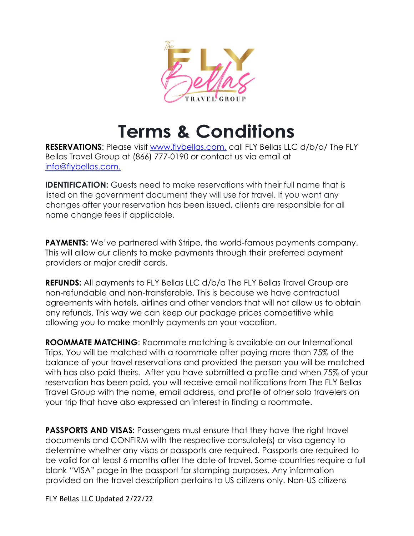

# **Terms & Conditions**

**RESERVATIONS:** Please visit [www.flybellas.com,](http://www.thetraveldivas.com/) call FLY Bellas LLC d/b/a/ The FLY Bellas Travel Group at (866) 777-0190 or contact us via email at [info@flybellas.com.](mailto:info@thetraveldivas.com)

**IDENTIFICATION:** Guests need to make reservations with their full name that is listed on the government document they will use for travel. If you want any changes after your reservation has been issued, clients are responsible for all name change fees if applicable.

**PAYMENTS:** We've partnered with Stripe, the world-famous payments company. This will allow our clients to make payments through their preferred payment providers or major credit cards.

**REFUNDS:** All payments to FLY Bellas LLC d/b/a The FLY Bellas Travel Group are non-refundable and non-transferable. This is because we have contractual agreements with hotels, airlines and other vendors that will not allow us to obtain any refunds. This way we can keep our package prices competitive while allowing you to make monthly payments on your vacation.

**ROOMMATE MATCHING**: Roommate matching is available on our International Trips. You will be matched with a roommate after paying more than 75% of the balance of your travel reservations and provided the person you will be matched with has also paid theirs. After you have submitted a profile and when 75% of your reservation has been paid, you will receive email notifications from The FLY Bellas Travel Group with the name, email address, and profile of other solo travelers on your trip that have also expressed an interest in finding a roommate.

**PASSPORTS AND VISAS:** Passengers must ensure that they have the right travel documents and CONFIRM with the respective consulate(s) or visa agency to determine whether any visas or passports are required. Passports are required to be valid for at least 6 months after the date of travel. Some countries require a full blank "VISA" page in the passport for stamping purposes. Any information provided on the travel description pertains to US citizens only. Non-US citizens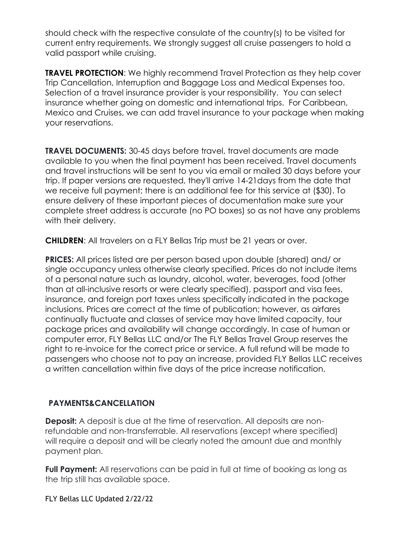should check with the respective consulate of the country(s) to be visited for current entry requirements. We strongly suggest all cruise passengers to hold a valid passport while cruising.

**TRAVEL PROTECTION:** We highly recommend Travel Protection as they help cover Trip Cancellation, Interruption and Baggage Loss and Medical Expenses too. Selection of a travel insurance provider is your responsibility. You can select insurance whether going on domestic and international trips. For Caribbean, Mexico and Cruises, we can add travel insurance to your package when making your reservations.

**TRAVEL DOCUMENTS:** 30-45 days before travel, travel documents are made available to you when the final payment has been received. Travel documents and travel instructions will be sent to you via email or mailed 30 days before your trip. If paper versions are requested, they'll arrive 14-21days from the date that we receive full payment; there is an additional fee for this service at (\$30). To ensure delivery of these important pieces of documentation make sure your complete street address is accurate (no PO boxes) so as not have any problems with their delivery.

**CHILDREN**: All travelers on a FLY Bellas Trip must be 21 years or over.

**PRICES:** All prices listed are per person based upon double (shared) and/ or single occupancy unless otherwise clearly specified. Prices do not include items of a personal nature such as laundry, alcohol, water, beverages, food (other than at all-inclusive resorts or were clearly specified), passport and visa fees, insurance, and foreign port taxes unless specifically indicated in the package inclusions. Prices are correct at the time of publication; however, as airfares continually fluctuate and classes of service may have limited capacity, tour package prices and availability will change accordingly. In case of human or computer error, FLY Bellas LLC and/or The FLY Bellas Travel Group reserves the right to re-invoice for the correct price or service. A full refund will be made to passengers who choose not to pay an increase, provided FLY Bellas LLC receives a written cancellation within five days of the price increase notification.

## **PAYMENTS&CANCELLATION**

**Deposit:** A deposit is due at the time of reservation. All deposits are nonrefundable and non-transferrable. All reservations (except where specified) will require a deposit and will be clearly noted the amount due and monthly payment plan.

**Full Payment:** All reservations can be paid in full at time of booking as long as the trip still has available space.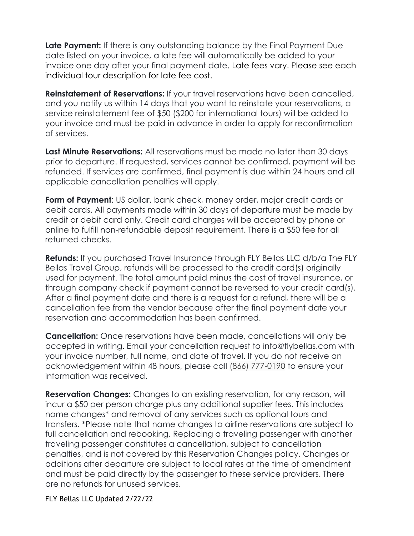**Late Payment:** If there is any outstanding balance by the Final Payment Due date listed on your invoice, a late fee will automatically be added to your invoice one day after your final payment date. Late fees vary. Please see each individual tour description for late fee cost.

**Reinstatement of Reservations:** If your travel reservations have been cancelled, and you notify us within 14 days that you want to reinstate your reservations, a service reinstatement fee of \$50 (\$200 for international tours) will be added to your invoice and must be paid in advance in order to apply for reconfirmation of services.

**Last Minute Reservations:** All reservations must be made no later than 30 days prior to departure. If requested, services cannot be confirmed, payment will be refunded. If services are confirmed, final payment is due within 24 hours and all applicable cancellation penalties will apply.

**Form of Payment**: US dollar, bank check, money order, major credit cards or debit cards. All payments made within 30 days of departure must be made by credit or debit card only. Credit card charges will be accepted by phone or online to fulfill non-refundable deposit requirement. There is a \$50 fee for all returned checks.

**Refunds:** If you purchased Travel Insurance through FLY Bellas LLC d/b/a The FLY Bellas Travel Group, refunds will be processed to the credit card(s) originally used for payment. The total amount paid minus the cost of travel insurance, or through company check if payment cannot be reversed to your credit card(s). After a final payment date and there is a request for a refund, there will be a cancellation fee from the vendor because after the final payment date your reservation and accommodation has been confirmed.

**Cancellation:** Once reservations have been made, cancellations will only be accepted in writing. Email your cancellation request to [info@flybellas.com](mailto:info@thetraveldivas.com) with your invoice number, full name, and date of travel. If you do not receive an acknowledgement within 48 hours, please call (866) 777-0190 to ensure your information was received.

**Reservation Changes:** Changes to an existing reservation, for any reason, will incur a \$50 per person charge plus any additional supplier fees. This includes name changes\* and removal of any services such as optional tours and transfers. \*Please note that name changes to airline reservations are subject to full cancellation and rebooking. Replacing a traveling passenger with another traveling passenger constitutes a cancellation, subject to cancellation penalties, and is not covered by this Reservation Changes policy. Changes or additions after departure are subject to local rates at the time of amendment and must be paid directly by the passenger to these service providers. There are no refunds for unused services.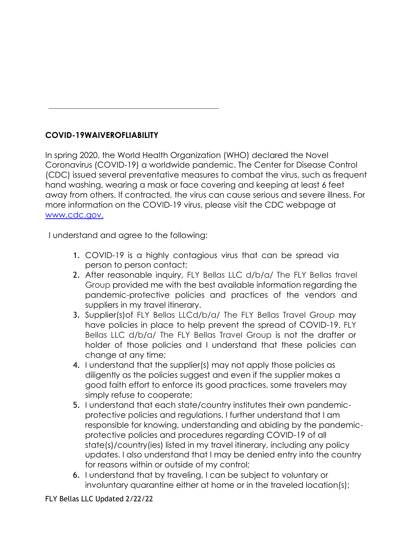# **COVID-19WAIVEROFLIABILITY**

In spring 2020, the World Health Organization (WHO) declared the Novel Coronavirus (COVID-19) a worldwide pandemic. The Center for Disease Control (CDC) issued several preventative measures to combat the virus, such as frequent hand washing, wearing a mask or face covering and keeping at least 6 feet away from others. If contracted, the virus can cause serious and severe illness. For more information on the COVID-19 virus, please visit the CDC webpage at [www.cdc.gov.](http://www.cdc.gov/)

I understand and agree to the following:

- 1. COVID-19 is a highly contagious virus that can be spread via person to person contact;
- 2. After reasonable inquiry, FLY Bellas LLC d/b/a/ The FLY Bellas travel Group provided me with the best available information regarding the pandemic-protective policies and practices of the vendors and suppliers in my travel itinerary.
- 3. Supplier(s)of FLY Bellas LLCd/b/a/ The FLY Bellas Travel Group may have policies in place to help prevent the spread of COVID-19. FLY Bellas LLC d/b/a/ The FLY Bellas Travel Group is not the drafter or holder of those policies and I understand that these policies can change at any time;
- 4. I understand that the supplier(s) may not apply those policies as diligently as the policies suggest and even if the supplier makes a good faith effort to enforce its good practices, some travelers may simply refuse to cooperate;
- 5. I understand that each state/country institutes their own pandemicprotective policies and regulations. I further understand that I am responsible for knowing, understanding and abiding by the pandemicprotective policies and procedures regarding COVID-19 of all state(s)/country(ies) listed in my travel itinerary, including any policy updates. I also understand that I may be denied entry into the country for reasons within or outside of my control;
- 6. I understand that by traveling, I can be subject to voluntary or involuntary quarantine either at home or in the traveled location(s);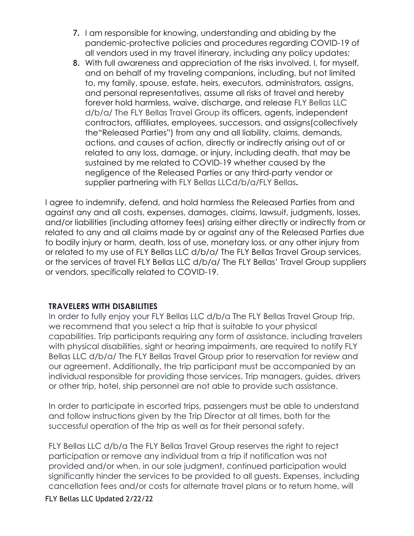- 7. I am responsible for knowing, understanding and abiding by the pandemic-protective policies and procedures regarding COVID-19 of all vendors used in my travel itinerary, including any policy updates;
- 8. With full awareness and appreciation of the risks involved, I, for myself, and on behalf of my traveling companions, including, but not limited to, my family, spouse, estate, heirs, executors, administrators, assigns, and personal representatives, assume all risks of travel and hereby forever hold harmless, waive, discharge, and release FLY Bellas LLC d/b/a/ The FLY Bellas Travel Group its officers, agents, independent contractors, affiliates, employees, successors, and assigns(collectively the"Released Parties") from any and all liability, claims, demands, actions, and causes of action, directly or indirectly arising out of or related to any loss, damage, or injury, including death, that may be sustained by me related to COVID-19 whether caused by the negligence of the Released Parties or any third-party vendor or supplier partnering with FLY Bellas LLCd/b/a/FLY Bellas**.**

I agree to indemnify, defend, and hold harmless the Released Parties from and against any and all costs, expenses, damages, claims, lawsuit, judgments, losses, and/or liabilities (including attorney fees) arising either directly or indirectly from or related to any and all claims made by or against any of the Released Parties due to bodily injury or harm, death, loss of use, monetary loss, or any other injury from or related to my use of FLY Bellas LLC d/b/a/ The FLY Bellas Travel Group services, or the services of travel FLY Bellas LLC d/b/a/ The FLY Bellas' Travel Group suppliers or vendors, specifically related to COVID-19.

#### **TRAVELERS WITH DISABILITIES**

In order to fully enjoy your FLY Bellas LLC d/b/a The FLY Bellas Travel Group trip, we recommend that you select a trip that is suitable to your physical capabilities. Trip participants requiring any form of assistance, including travelers with physical disabilities, sight or hearing impairments, are required to notify FLY Bellas LLC d/b/a/ The FLY Bellas Travel Group prior to reservation for review and our agreement. Additionally**,** the trip participant must be accompanied by an individual responsible for providing those services. Trip managers, guides, drivers or other trip, hotel, ship personnel are not able to provide such assistance.

In order to participate in escorted trips, passengers must be able to understand and follow instructions given by the Trip Director at all times, both for the successful operation of the trip as well as for their personal safety.

FLY Bellas LLC d/b/a The FLY Bellas Travel Group reserves the right to reject participation or remove any individual from a trip if notification was not provided and/or when, in our sole judgment, continued participation would significantly hinder the services to be provided to all guests. Expenses, including cancellation fees and/or costs for alternate travel plans or to return home, will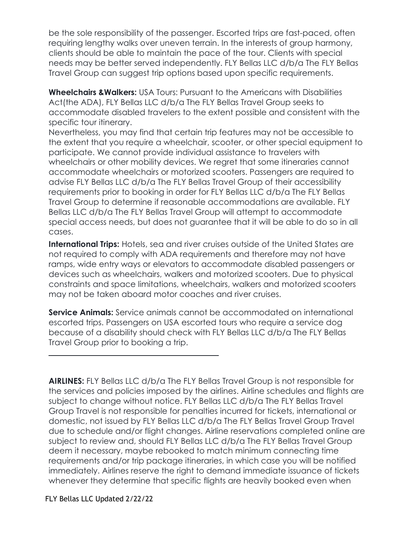be the sole responsibility of the passenger. Escorted trips are fast-paced, often requiring lengthy walks over uneven terrain. In the interests of group harmony, clients should be able to maintain the pace of the tour. Clients with special needs may be better served independently. FLY Bellas LLC d/b/a The FLY Bellas Travel Group can suggest trip options based upon specific requirements.

**Wheelchairs &Walkers:** USA Tours: Pursuant to the Americans with Disabilities Act(the ADA), FLY Bellas LLC d/b/a The FLY Bellas Travel Group seeks to accommodate disabled travelers to the extent possible and consistent with the specific tour itinerary.

Nevertheless, you may find that certain trip features may not be accessible to the extent that you require a wheelchair, scooter, or other special equipment to participate. We cannot provide individual assistance to travelers with wheelchairs or other mobility devices. We regret that some itineraries cannot accommodate wheelchairs or motorized scooters. Passengers are required to advise FLY Bellas LLC d/b/a The FLY Bellas Travel Group of their accessibility requirements prior to booking in order for FLY Bellas LLC d/b/a The FLY Bellas Travel Group to determine if reasonable accommodations are available. FLY Bellas LLC d/b/a The FLY Bellas Travel Group will attempt to accommodate special access needs, but does not guarantee that it will be able to do so in all cases.

**International Trips:** Hotels, sea and river cruises outside of the United States are not required to comply with ADA requirements and therefore may not have ramps, wide entry ways or elevators to accommodate disabled passengers or devices such as wheelchairs, walkers and motorized scooters. Due to physical constraints and space limitations, wheelchairs, walkers and motorized scooters may not be taken aboard motor coaches and river cruises.

**Service Animals:** Service animals cannot be accommodated on international escorted trips. Passengers on USA escorted tours who require a service dog because of a disability should check with FLY Bellas LLC d/b/a The FLY Bellas Travel Group prior to booking a trip.

**AIRLINES:** FLY Bellas LLC d/b/a The FLY Bellas Travel Group is not responsible for the services and policies imposed by the airlines. Airline schedules and flights are subject to change without notice. FLY Bellas LLC d/b/a The FLY Bellas Travel Group Travel is not responsible for penalties incurred for tickets, international or domestic, not issued by FLY Bellas LLC d/b/a The FLY Bellas Travel Group Travel due to schedule and/or flight changes. Airline reservations completed online are subject to review and, should FLY Bellas LLC d/b/a The FLY Bellas Travel Group deem it necessary, maybe rebooked to match minimum connecting time requirements and/or trip package itineraries, in which case you will be notified immediately. Airlines reserve the right to demand immediate issuance of tickets whenever they determine that specific flights are heavily booked even when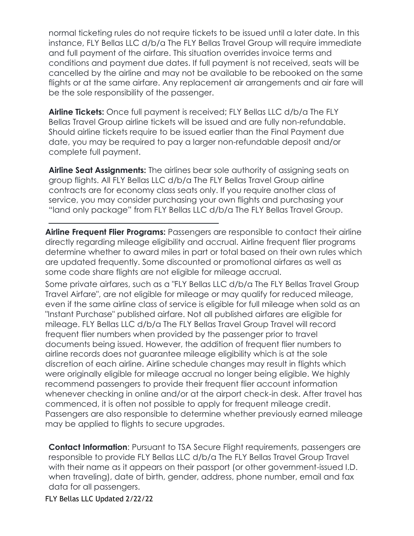normal ticketing rules do not require tickets to be issued until a later date. In this instance, FLY Bellas LLC d/b/a The FLY Bellas Travel Group will require immediate and full payment of the airfare. This situation overrides invoice terms and conditions and payment due dates. If full payment is not received, seats will be cancelled by the airline and may not be available to be rebooked on the same flights or at the same airfare. Any replacement air arrangements and air fare will be the sole responsibility of the passenger.

**Airline Tickets:** Once full payment is received; FLY Bellas LLC d/b/a The FLY Bellas Travel Group airline tickets will be issued and are fully non-refundable. Should airline tickets require to be issued earlier than the Final Payment due date, you may be required to pay a larger non-refundable deposit and/or complete full payment.

**Airline Seat Assignments:** The airlines bear sole authority of assigning seats on group flights. All FLY Bellas LLC d/b/a The FLY Bellas Travel Group airline contracts are for economy class seats only. If you require another class of service, you may consider purchasing your own flights and purchasing your "land only package" from FLY Bellas LLC d/b/a The FLY Bellas Travel Group.

**Airline Frequent Flier Programs:** Passengers are responsible to contact their airline directly regarding mileage eligibility and accrual. Airline frequent flier programs determine whether to award miles in part or total based on their own rules which are updated frequently. Some discounted or promotional airfares as well as some code share flights are not eligible for mileage accrual.

Some private airfares, such as a "FLY Bellas LLC d/b/a The FLY Bellas Travel Group Travel Airfare", are not eligible for mileage or may qualify for reduced mileage, even if the same airline class of service is eligible for full mileage when sold as an "Instant Purchase" published airfare. Not all published airfares are eligible for mileage. FLY Bellas LLC d/b/a The FLY Bellas Travel Group Travel will record frequent flier numbers when provided by the passenger prior to travel documents being issued. However, the addition of frequent flier numbers to airline records does not guarantee mileage eligibility which is at the sole discretion of each airline. Airline schedule changes may result in flights which were originally eligible for mileage accrual no longer being eligible. We highly recommend passengers to provide their frequent flier account information whenever checking in online and/or at the airport check-in desk. After travel has commenced, it is often not possible to apply for frequent mileage credit. Passengers are also responsible to determine whether previously earned mileage may be applied to flights to secure upgrades.

**Contact Information:** Pursuant to TSA Secure Flight requirements, passengers are responsible to provide FLY Bellas LLC d/b/a The FLY Bellas Travel Group Travel with their name as it appears on their passport (or other government-issued I.D. when traveling), date of birth, gender, address, phone number, email and fax data for all passengers.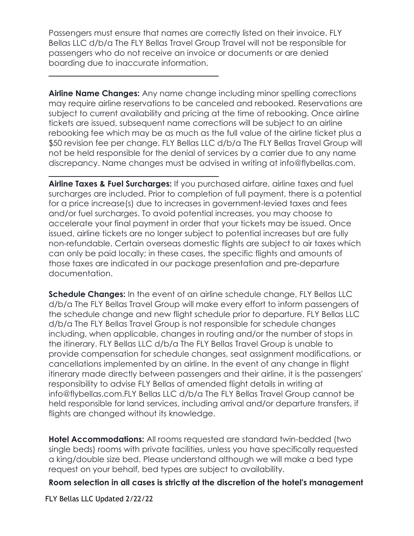Passengers must ensure that names are correctly listed on their invoice. FLY Bellas LLC d/b/a The FLY Bellas Travel Group Travel will not be responsible for passengers who do not receive an invoice or documents or are denied boarding due to inaccurate information.

**Airline Name Changes:** Any name change including minor spelling corrections may require airline reservations to be canceled and rebooked. Reservations are subject to current availability and pricing at the time of rebooking. Once airline tickets are issued, subsequent name corrections will be subject to an airline rebooking fee which may be as much as the full value of the airline ticket plus a \$50 revision fee per change. FLY Bellas LLC d/b/a The FLY Bellas Travel Group will not be held responsible for the denial of services by a carrier due to any name discrepancy. Name changes must be advised in writing at [info@flybellas.com.](mailto:info@thetraveldivas.com)

**Airline Taxes & Fuel Surcharges:** If you purchased airfare, airline taxes and fuel surcharges are included. Prior to completion of full payment, there is a potential for a price increase(s) due to increases in government-levied taxes and fees and/or fuel surcharges. To avoid potential increases, you may choose to accelerate your final payment in order that your tickets may be issued. Once issued, airline tickets are no longer subject to potential increases but are fully non-refundable. Certain overseas domestic flights are subject to air taxes which can only be paid locally; in these cases, the specific flights and amounts of those taxes are indicated in our package presentation and pre-departure documentation.

**Schedule Changes:** In the event of an airline schedule change, FLY Bellas LLC d/b/a The FLY Bellas Travel Group will make every effort to inform passengers of the schedule change and new flight schedule prior to departure. FLY Bellas LLC d/b/a The FLY Bellas Travel Group is not responsible for schedule changes including, when applicable, changes in routing and/or the number of stops in the itinerary. FLY Bellas LLC d/b/a The FLY Bellas Travel Group is unable to provide compensation for schedule changes, seat assignment modifications, or cancellations implemented by an airline. In the event of any change in flight itinerary made directly between passengers and their airline, it is the passengers' responsibility to advise FLY Bellas of amended flight details in writing at [info@flybellas.com.F](mailto:info@thetraveldivas.com)LY Bellas LLC d/b/a The FLY Bellas Travel Group cannot be held responsible for land services, including arrival and/or departure transfers, if flights are changed without its knowledge.

**Hotel Accommodations:** All rooms requested are standard twin-bedded (two single beds) rooms with private facilities, unless you have specifically requested a king/double size bed. Please understand although we will make a bed type request on your behalf, bed types are subject to availability.

**Room selection in all cases is strictly at the discretion of the hotel's management**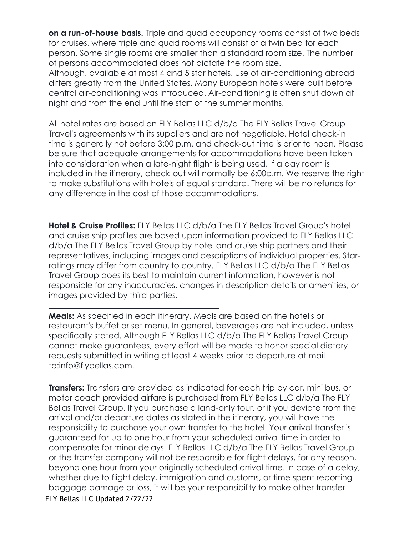**on a run-of-house basis.** Triple and quad occupancy rooms consist of two beds for cruises, where triple and quad rooms will consist of a twin bed for each person. Some single rooms are smaller than a standard room size. The number of persons accommodated does not dictate the room size.

Although, available at most 4 and 5 star hotels, use of air-conditioning abroad differs greatly from the United States. Many European hotels were built before central air-conditioning was introduced. Air-conditioning is often shut down at night and from the end until the start of the summer months.

All hotel rates are based on FLY Bellas LLC d/b/a The FLY Bellas Travel Group Travel's agreements with its suppliers and are not negotiable. Hotel check-in time is generally not before 3:00 p.m. and check-out time is prior to noon. Please be sure that adequate arrangements for accommodations have been taken into consideration when a late-night flight is being used. If a day room is included in the itinerary, check-out will normally be 6:00p.m. We reserve the right to make substitutions with hotels of equal standard. There will be no refunds for any difference in the cost of those accommodations.

**Hotel & Cruise Profiles:** FLY Bellas LLC d/b/a The FLY Bellas Travel Group's hotel and cruise ship profiles are based upon information provided to FLY Bellas LLC d/b/a The FLY Bellas Travel Group by hotel and cruise ship partners and their representatives, including images and descriptions of individual properties. Starratings may differ from country to country. FLY Bellas LLC d/b/a The FLY Bellas Travel Group does its best to maintain current information, however is not responsible for any inaccuracies, changes in description details or amenities, or images provided by third parties.

**Meals:** As specified in each itinerary. Meals are based on the hotel's or restaurant's buffet or set menu. In general, beverages are not included, unless specifically stated. Although FLY Bellas LLC d/b/a The FLY Bellas Travel Group cannot make guarantees, every effort will be made to honor special dietary requests submitted in writing at least 4 weeks prior to departure at [mail](mailto:info@thetraveldivas.com)  [to:info@flybellas.com.](mailto:info@thetraveldivas.com)

FLY Bellas LLC Updated 2/22/22 **Transfers:** Transfers are provided as indicated for each trip by car, mini bus, or motor coach provided airfare is purchased from FLY Bellas LLC d/b/a The FLY Bellas Travel Group. If you purchase a land-only tour, or if you deviate from the arrival and/or departure dates as stated in the itinerary, you will have the responsibility to purchase your own transfer to the hotel. Your arrival transfer is guaranteed for up to one hour from your scheduled arrival time in order to compensate for minor delays. FLY Bellas LLC d/b/a The FLY Bellas Travel Group or the transfer company will not be responsible for flight delays, for any reason, beyond one hour from your originally scheduled arrival time. In case of a delay, whether due to flight delay, immigration and customs, or time spent reporting baggage damage or loss, it will be your responsibility to make other transfer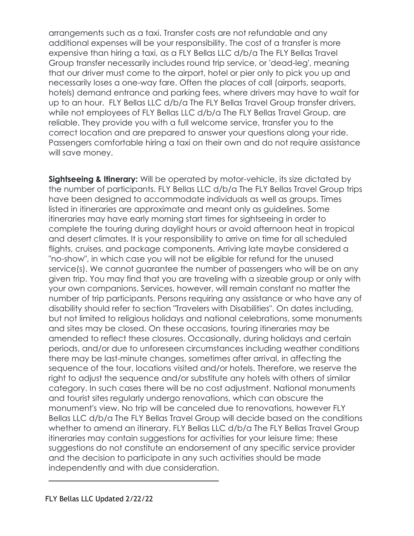arrangements such as a taxi. Transfer costs are not refundable and any additional expenses will be your responsibility. The cost of a transfer is more expensive than hiring a taxi, as a FLY Bellas LLC d/b/a The FLY Bellas Travel Group transfer necessarily includes round trip service, or 'dead-leg', meaning that our driver must come to the airport, hotel or pier only to pick you up and necessarily loses a one-way fare. Often the places of call (airports, seaports, hotels) demand entrance and parking fees, where drivers may have to wait for up to an hour. FLY Bellas LLC d/b/a The FLY Bellas Travel Group transfer drivers, while not employees of FLY Bellas LLC d/b/a The FLY Bellas Travel Group, are reliable. They provide you with a full welcome service, transfer you to the correct location and are prepared to answer your questions along your ride. Passengers comfortable hiring a taxi on their own and do not require assistance will save money.

**Sightseeing & Itinerary:** Will be operated by motor-vehicle, its size dictated by the number of participants. FLY Bellas LLC d/b/a The FLY Bellas Travel Group trips have been designed to accommodate individuals as well as groups. Times listed in itineraries are approximate and meant only as guidelines. Some itineraries may have early morning start times for sightseeing in order to complete the touring during daylight hours or avoid afternoon heat in tropical and desert climates. It is your responsibility to arrive on time for all scheduled flights, cruises, and package components. Arriving late maybe considered a "no-show", in which case you will not be eligible for refund for the unused service(s). We cannot guarantee the number of passengers who will be on any given trip. You may find that you are traveling with a sizeable group or only with your own companions. Services, however, will remain constant no matter the number of trip participants. Persons requiring any assistance or who have any of disability should refer to section "Travelers with Disabilities". On dates including, but not limited to religious holidays and national celebrations, some monuments and sites may be closed. On these occasions, touring itineraries may be amended to reflect these closures. Occasionally, during holidays and certain periods, and/or due to unforeseen circumstances including weather conditions there may be last-minute changes, sometimes after arrival, in affecting the sequence of the tour, locations visited and/or hotels. Therefore, we reserve the right to adjust the sequence and/or substitute any hotels with others of similar category. In such cases there will be no cost adjustment. National monuments and tourist sites regularly undergo renovations, which can obscure the monument's view. No trip will be canceled due to renovations, however FLY Bellas LLC d/b/a The FLY Bellas Travel Group will decide based on the conditions whether to amend an itinerary. FLY Bellas LLC d/b/a The FLY Bellas Travel Group itineraries may contain suggestions for activities for your leisure time; these suggestions do not constitute an endorsement of any specific service provider and the decision to participate in any such activities should be made independently and with due consideration.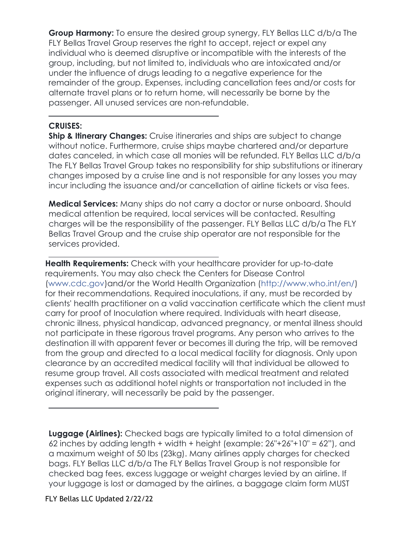**Group Harmony:** To ensure the desired group synergy, FLY Bellas LLC d/b/a The FLY Bellas Travel Group reserves the right to accept, reject or expel any individual who is deemed disruptive or incompatible with the interests of the group, including, but not limited to, individuals who are intoxicated and/or under the influence of drugs leading to a negative experience for the remainder of the group. Expenses, including cancellation fees and/or costs for alternate travel plans or to return home, will necessarily be borne by the passenger. All unused services are non-refundable.

#### **CRUISES:**

**Ship & Itinerary Changes:** Cruise itineraries and ships are subject to change without notice. Furthermore, cruise ships maybe chartered and/or departure dates canceled, in which case all monies will be refunded. FLY Bellas LLC d/b/a The FLY Bellas Travel Group takes no responsibility for ship substitutions or itinerary changes imposed by a cruise line and is not responsible for any losses you may incur including the issuance and/or cancellation of airline tickets or visa fees.

**Medical Services:** Many ships do not carry a doctor or nurse onboard. Should medical attention be required, local services will be contacted. Resulting charges will be the responsibility of the passenger. FLY Bellas LLC d/b/a The FLY Bellas Travel Group and the cruise ship operator are not responsible for the services provided.

**Health Requirements:** Check with your healthcare provider for up-to-date requirements. You may also check the Centers for Disease Control (www.cdc.gov)and/or the World Health Organization [\(http://www.who.int/en/\)](http://www.who.int/en/))  for their recommendations. Required inoculations, if any, must be recorded by clients' health practitioner on a valid vaccination certificate which the client must carry for proof of Inoculation where required. Individuals with heart disease, chronic illness, physical handicap, advanced pregnancy, or mental illness should not participate in these rigorous travel programs. Any person who arrives to the destination ill with apparent fever or becomes ill during the trip, will be removed from the group and directed to a local medical facility for diagnosis. Only upon clearance by an accredited medical facility will that individual be allowed to resume group travel. All costs associated with medical treatment and related expenses such as additional hotel nights or transportation not included in the original itinerary, will necessarily be paid by the passenger.

**Luggage (Airlines):** Checked bags are typically limited to a total dimension of 62 inches by adding length + width + height (example:  $26"+26"+10" = 62"$ ), and a maximum weight of 50 lbs (23kg). Many airlines apply charges for checked bags. FLY Bellas LLC d/b/a The FLY Bellas Travel Group is not responsible for checked bag fees, excess luggage or weight charges levied by an airline. If your luggage is lost or damaged by the airlines, a baggage claim form MUST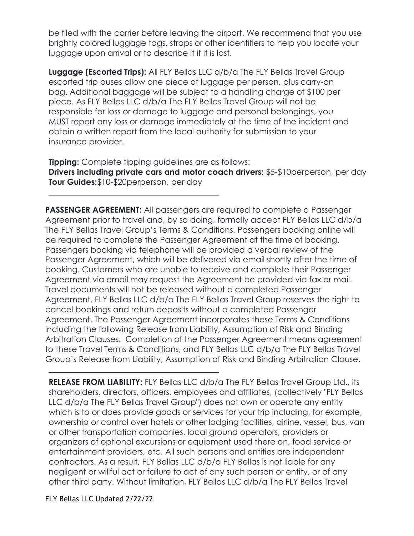be filed with the carrier before leaving the airport. We recommend that you use brightly colored luggage tags, straps or other identifiers to help you locate your luggage upon arrival or to describe it if it is lost.

**Luggage (Escorted Trips):** All FLY Bellas LLC d/b/a The FLY Bellas Travel Group escorted trip buses allow one piece of luggage per person, plus carry-on bag. Additional baggage will be subject to a handling charge of \$100 per piece. As FLY Bellas LLC d/b/a The FLY Bellas Travel Group will not be responsible for loss or damage to luggage and personal belongings, you MUST report any loss or damage immediately at the time of the incident and obtain a written report from the local authority for submission to your insurance provider.

**Tipping:** Complete tipping guidelines are as follows:

**Drivers including private cars and motor coach drivers:** \$5-\$10perperson, per day **Tour Guides:**\$10-\$20perperson, per day

**PASSENGER AGREEMENT:** All passengers are required to complete a Passenger Agreement prior to travel and, by so doing, formally accept FLY Bellas LLC d/b/a The FLY Bellas Travel Group's Terms & Conditions. Passengers booking online will be required to complete the Passenger Agreement at the time of booking. Passengers booking via telephone will be provided a verbal review of the Passenger Agreement, which will be delivered via email shortly after the time of booking. Customers who are unable to receive and complete their Passenger Agreement via email may request the Agreement be provided via fax or mail. Travel documents will not be released without a completed Passenger Agreement. FLY Bellas LLC d/b/a The FLY Bellas Travel Group reserves the right to cancel bookings and return deposits without a completed Passenger Agreement. The Passenger Agreement incorporates these Terms & Conditions including the following Release from Liability, Assumption of Risk and Binding Arbitration Clauses. Completion of the Passenger Agreement means agreement to these Travel Terms & Conditions, and FLY Bellas LLC d/b/a The FLY Bellas Travel Group's Release from Liability, Assumption of Risk and Binding Arbitration Clause.

**RELEASE FROM LIABILITY:** FLY Bellas LLC d/b/a The FLY Bellas Travel Group Ltd., its shareholders, directors, officers, employees and affiliates, (collectively "FLY Bellas LLC d/b/a The FLY Bellas Travel Group") does not own or operate any entity which is to or does provide goods or services for your trip including, for example, ownership or control over hotels or other lodging facilities, airline, vessel, bus, van or other transportation companies, local ground operators, providers or organizers of optional excursions or equipment used there on, food service or entertainment providers, etc. All such persons and entities are independent contractors. As a result, FLY Bellas LLC d/b/a FLY Bellas is not liable for any negligent or willful act or failure to act of any such person or entity, or of any other third party. Without limitation, FLY Bellas LLC d/b/a The FLY Bellas Travel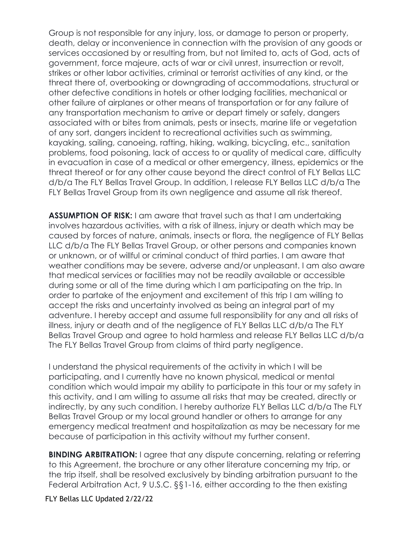Group is not responsible for any injury, loss, or damage to person or property, death, delay or inconvenience in connection with the provision of any goods or services occasioned by or resulting from, but not limited to, acts of God, acts of government, force majeure, acts of war or civil unrest, insurrection or revolt, strikes or other labor activities, criminal or terrorist activities of any kind, or the threat there of, overbooking or downgrading of accommodations, structural or other defective conditions in hotels or other lodging facilities, mechanical or other failure of airplanes or other means of transportation or for any failure of any transportation mechanism to arrive or depart timely or safely, dangers associated with or bites from animals, pests or insects, marine life or vegetation of any sort, dangers incident to recreational activities such as swimming, kayaking, sailing, canoeing, rafting, hiking, walking, bicycling, etc., sanitation problems, food poisoning, lack of access to or quality of medical care, difficulty in evacuation in case of a medical or other emergency, illness, epidemics or the threat thereof or for any other cause beyond the direct control of FLY Bellas LLC d/b/a The FLY Bellas Travel Group. In addition, I release FLY Bellas LLC d/b/a The FLY Bellas Travel Group from its own negligence and assume all risk thereof.

**ASSUMPTION OF RISK:** I am aware that travel such as that I am undertaking involves hazardous activities, with a risk of illness, injury or death which may be caused by forces of nature, animals, insects or flora, the negligence of FLY Bellas LLC d/b/a The FLY Bellas Travel Group, or other persons and companies known or unknown, or of willful or criminal conduct of third parties. I am aware that weather conditions may be severe, adverse and/or unpleasant. I am also aware that medical services or facilities may not be readily available or accessible during some or all of the time during which I am participating on the trip. In order to partake of the enjoyment and excitement of this trip I am willing to accept the risks and uncertainty involved as being an integral part of my adventure. I hereby accept and assume full responsibility for any and all risks of illness, injury or death and of the negligence of FLY Bellas LLC d/b/a The FLY Bellas Travel Group and agree to hold harmless and release FLY Bellas LLC d/b/a The FLY Bellas Travel Group from claims of third party negligence.

I understand the physical requirements of the activity in which I will be participating, and I currently have no known physical, medical or mental condition which would impair my ability to participate in this tour or my safety in this activity, and I am willing to assume all risks that may be created, directly or indirectly, by any such condition. I hereby authorize FLY Bellas LLC d/b/a The FLY Bellas Travel Group or my local ground handler or others to arrange for any emergency medical treatment and hospitalization as may be necessary for me because of participation in this activity without my further consent.

**BINDING ARBITRATION:** I agree that any dispute concerning, relating or referring to this Agreement, the brochure or any other literature concerning my trip, or the trip itself, shall be resolved exclusively by binding arbitration pursuant to the Federal Arbitration Act, 9 U.S.C. §§1-16, either according to the then existing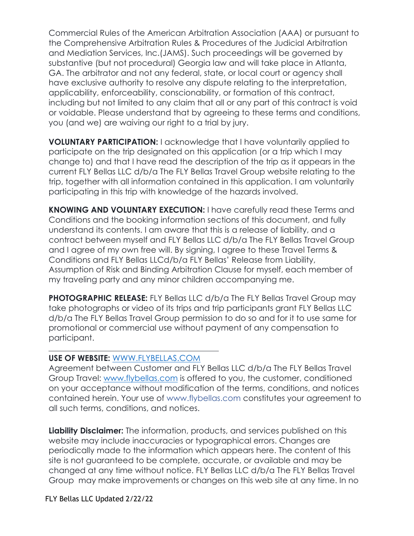Commercial Rules of the American Arbitration Association (AAA) or pursuant to the Comprehensive Arbitration Rules & Procedures of the Judicial Arbitration and Mediation Services, Inc.(JAMS). Such proceedings will be governed by substantive (but not procedural) Georgia law and will take place in Atlanta, GA. The arbitrator and not any federal, state, or local court or agency shall have exclusive authority to resolve any dispute relating to the interpretation, applicability, enforceability, conscionability, or formation of this contract, including but not limited to any claim that all or any part of this contract is void or voidable. Please understand that by agreeing to these terms and conditions, you (and we) are waiving our right to a trial by jury.

**VOLUNTARY PARTICIPATION:** I acknowledge that I have voluntarily applied to participate on the trip designated on this application (or a trip which I may change to) and that I have read the description of the trip as it appears in the current FLY Bellas LLC d/b/a The FLY Bellas Travel Group website relating to the trip, together with all information contained in this application. I am voluntarily participating in this trip with knowledge of the hazards involved.

**KNOWING AND VOLUNTARY EXECUTION:** I have carefully read these Terms and Conditions and the booking information sections of this document, and fully understand its contents. I am aware that this is a release of liability, and a contract between myself and FLY Bellas LLC d/b/a The FLY Bellas Travel Group and I agree of my own free will. By signing, I agree to these Travel Terms & Conditions and FLY Bellas LLCd/b/a FLY Bellas' Release from Liability, Assumption of Risk and Binding Arbitration Clause for myself, each member of my traveling party and any minor children accompanying me.

**PHOTOGRAPHIC RELEASE:** FLY Bellas LLC d/b/a The FLY Bellas Travel Group may take photographs or video of its trips and trip participants grant FLY Bellas LLC d/b/a The FLY Bellas Travel Group permission to do so and for it to use same for promotional or commercial use without payment of any compensation to participant.

#### **USE OF WEBSITE:** [WWW.FLYBELLAS.COM](http://www.thetraveldivas.com/)

Agreement between Customer and FLY Bellas LLC d/b/a The FLY Bellas Travel Group Travel: [www.flybellas.com](http://www.thetraveldivas.com/) is offered to you, the customer, conditioned on your acceptance without modification of the terms, conditions, and notices contained herein. Your use of [www.flybellas.com](http://www.thetraveldivas.com/) constitutes your agreement to all such terms, conditions, and notices.

**Liability Disclaimer:** The information, products, and services published on this website may include inaccuracies or typographical errors. Changes are periodically made to the information which appears here. The content of this site is not guaranteed to be complete, accurate, or available and may be changed at any time without notice. FLY Bellas LLC d/b/a The FLY Bellas Travel Group may make improvements or changes on this web site at any time. In no